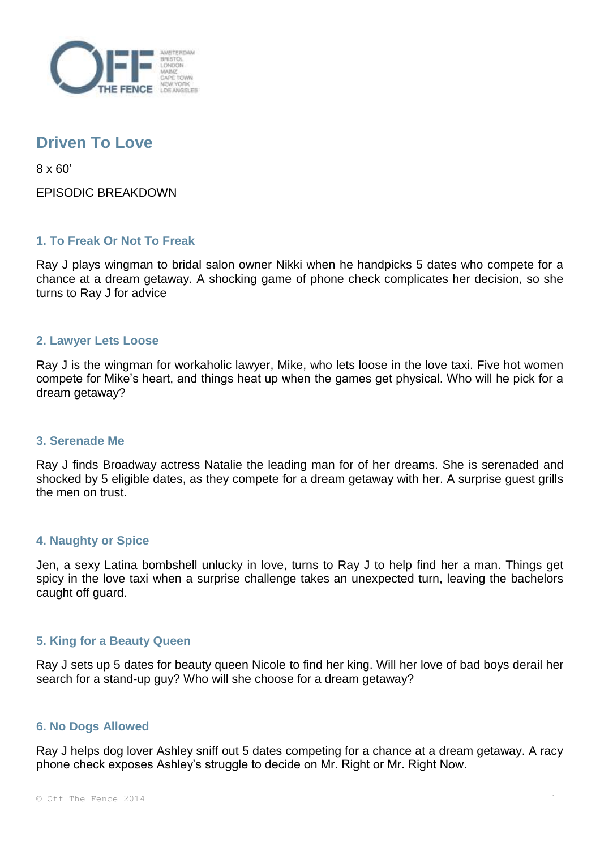

# **Driven To Love**

8 x 60'

EPISODIC BREAKDOWN

## **1. To Freak Or Not To Freak**

Ray J plays wingman to bridal salon owner Nikki when he handpicks 5 dates who compete for a chance at a dream getaway. A shocking game of phone check complicates her decision, so she turns to Ray J for advice

#### **2. Lawyer Lets Loose**

Ray J is the wingman for workaholic lawyer, Mike, who lets loose in the love taxi. Five hot women compete for Mike's heart, and things heat up when the games get physical. Who will he pick for a dream getaway?

#### **3. Serenade Me**

Ray J finds Broadway actress Natalie the leading man for of her dreams. She is serenaded and shocked by 5 eligible dates, as they compete for a dream getaway with her. A surprise guest grills the men on trust.

#### **4. Naughty or Spice**

Jen, a sexy Latina bombshell unlucky in love, turns to Ray J to help find her a man. Things get spicy in the love taxi when a surprise challenge takes an unexpected turn, leaving the bachelors caught off guard.

### **5. King for a Beauty Queen**

Ray J sets up 5 dates for beauty queen Nicole to find her king. Will her love of bad boys derail her search for a stand-up guy? Who will she choose for a dream getaway?

#### **6. No Dogs Allowed**

Ray J helps dog lover Ashley sniff out 5 dates competing for a chance at a dream getaway. A racy phone check exposes Ashley's struggle to decide on Mr. Right or Mr. Right Now.